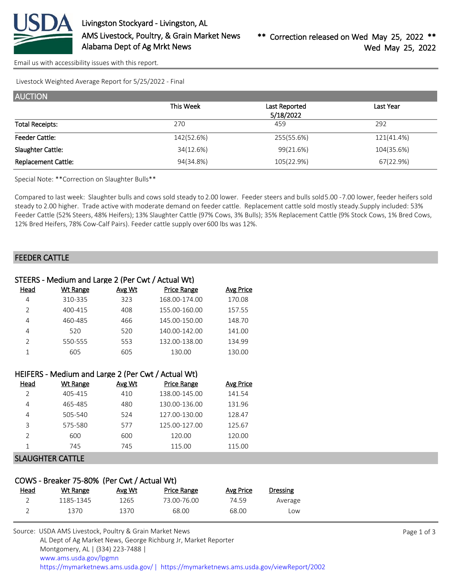

[Email us with accessibility issues with this report.](mailto:mars@ams.usda.gov?subject=508%20issue)

Livestock Weighted Average Report for 5/25/2022 - Final

| <b>AUCTION</b>             |            |                            |            |
|----------------------------|------------|----------------------------|------------|
|                            | This Week  | Last Reported<br>5/18/2022 | Last Year  |
| <b>Total Receipts:</b>     | 270        | 459                        | 292        |
| <b>Feeder Cattle:</b>      | 142(52.6%) | 255(55.6%)                 | 121(41.4%) |
| Slaughter Cattle:          | 34(12.6%)  | 99(21.6%)                  | 104(35.6%) |
| <b>Replacement Cattle:</b> | 94(34.8%)  | 105(22.9%)                 | 67(22.9%)  |

Special Note: \*\*Correction on Slaughter Bulls\*\*

Compared to last week: Slaughter bulls and cows sold steady to 2.00 lower. Feeder steers and bulls sold 5.00 - 7.00 lower, feeder heifers sold steady to 2.00 higher. Trade active with moderate demand on feeder cattle. Replacement cattle sold mostly steady. Supply included: 53% Feeder Cattle (52% Steers, 48% Heifers); 13% Slaughter Cattle (97% Cows, 3% Bulls); 35% Replacement Cattle (9% Stock Cows, 1% Bred Cows, 12% Bred Heifers, 78% Cow-Calf Pairs). Feeder cattle supply over 600 lbs was 12%.

### FEEDER CATTLE

|                | STEERS - Medium and Large 2 (Per Cwt / Actual Wt)  |        |                    |                  |
|----------------|----------------------------------------------------|--------|--------------------|------------------|
| Head           | Wt Range                                           | Avg Wt | <b>Price Range</b> | Avg Price        |
| 4              | 310-335                                            | 323    | 168.00-174.00      | 170.08           |
| $\overline{2}$ | 400-415                                            | 408    | 155.00-160.00      | 157.55           |
| 4              | 460-485                                            | 466    | 145.00-150.00      | 148.70           |
| 4              | 520                                                | 520    | 140.00-142.00      | 141.00           |
| $\overline{2}$ | 550-555                                            | 553    | 132.00-138.00      | 134.99           |
| 1              | 605                                                | 605    | 130.00             | 130.00           |
|                |                                                    |        |                    |                  |
|                | HEIFERS - Medium and Large 2 (Per Cwt / Actual Wt) |        |                    |                  |
| Head           | Wt Range                                           | Avg Wt | <b>Price Range</b> | <b>Avg Price</b> |
| $\overline{2}$ | 405-415                                            | 410    | 138.00-145.00      | 141.54           |

| C.            | 405-415 | 410 | 138.00-145.00 | 141.54 |
|---------------|---------|-----|---------------|--------|
|               | 465-485 | 480 | 130.00-136.00 | 131.96 |
| 4             | 505-540 | 524 | 127.00-130.00 | 128.47 |
| 3             | 575-580 | 577 | 125.00-127.00 | 125.67 |
| $\mathcal{P}$ | 600     | 600 | 120.00        | 120.00 |
|               | 745     | 745 | 115.00        | 115.00 |
|               |         |     |               |        |

#### SLAUGHTER CATTLE

### COWS - Breaker 75-80% (Per Cwt / Actual Wt)

| <u>Head</u> | Wt Range  | Avg Wt | Price Range | Avg Price | <b>Dressing</b> |
|-------------|-----------|--------|-------------|-----------|-----------------|
|             | 1185-1345 | 1265   | 73.00-76.00 | 74.59     | Average         |
|             | 1370      | 1370.  | 68.00       | 68.00     | LOW             |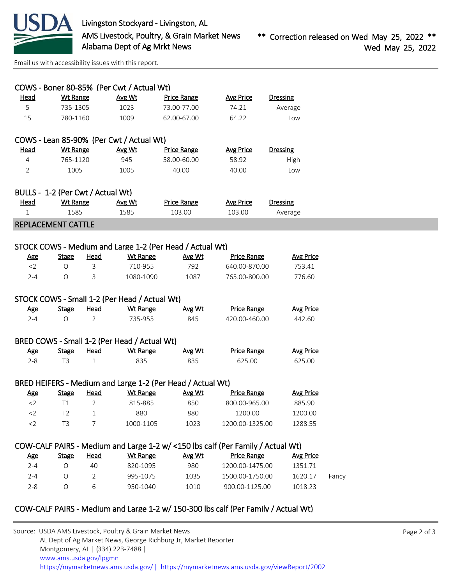

[Email us with accessibility issues with this report.](mailto:mars@ams.usda.gov?subject=508%20issue)

| Head                              | <b>Wt Range</b> |                | COWS - Boner 80-85% (Per Cwt / Actual Wt)<br>Avg Wt | <b>Price Range</b>                                         | <b>Avg Price</b>                                                                | <b>Dressing</b>  |
|-----------------------------------|-----------------|----------------|-----------------------------------------------------|------------------------------------------------------------|---------------------------------------------------------------------------------|------------------|
| 5                                 | 735-1305        |                | 1023                                                | 73.00-77.00                                                | 74.21                                                                           | Average          |
| 15                                | 780-1160        |                | 1009                                                | 62.00-67.00                                                | 64.22                                                                           | Low              |
|                                   |                 |                |                                                     |                                                            |                                                                                 |                  |
|                                   |                 |                | COWS - Lean 85-90% (Per Cwt / Actual Wt)            |                                                            |                                                                                 |                  |
| Head                              | <b>Wt Range</b> |                | Avg Wt                                              | <b>Price Range</b>                                         | <b>Avg Price</b>                                                                | Dressing         |
| 4                                 | 765-1120        |                | 945                                                 | 58.00-60.00                                                | 58.92                                                                           | High             |
| $\overline{2}$                    | 1005            |                | 1005                                                | 40.00                                                      | 40.00                                                                           | Low              |
|                                   |                 |                |                                                     |                                                            |                                                                                 |                  |
| BULLS - 1-2 (Per Cwt / Actual Wt) |                 |                |                                                     |                                                            |                                                                                 |                  |
| <b>Head</b>                       | <b>Wt Range</b> |                | Avg Wt                                              | <b>Price Range</b>                                         | <b>Avg Price</b>                                                                | <b>Dressing</b>  |
| 1                                 | 1585            |                | 1585                                                | 103.00                                                     | 103.00                                                                          | Average          |
| <b>REPLACEMENT CATTLE</b>         |                 |                |                                                     |                                                            |                                                                                 |                  |
|                                   |                 |                |                                                     | STOCK COWS - Medium and Large 1-2 (Per Head / Actual Wt)   |                                                                                 |                  |
| <u>Age</u>                        | <b>Stage</b>    | <b>Head</b>    | <b>Wt Range</b>                                     | Avg Wt                                                     | <b>Price Range</b>                                                              | <b>Avg Price</b> |
| $<$ 2                             | O               | 3              | 710-955                                             | 792                                                        | 640.00-870.00                                                                   | 753.41           |
| $2 - 4$                           | $\circ$         | 3              | 1080-1090                                           | 1087                                                       | 765.00-800.00                                                                   | 776.60           |
|                                   |                 |                |                                                     |                                                            |                                                                                 |                  |
|                                   |                 |                | STOCK COWS - Small 1-2 (Per Head / Actual Wt)       |                                                            |                                                                                 |                  |
| <b>Age</b>                        | <b>Stage</b>    | <b>Head</b>    | <b>Wt Range</b>                                     | Avg Wt                                                     | <b>Price Range</b>                                                              | <b>Avg Price</b> |
| $2 - 4$                           | O               | $\overline{2}$ | 735-955                                             | 845                                                        | 420.00-460.00                                                                   | 442.60           |
|                                   |                 |                |                                                     |                                                            |                                                                                 |                  |
|                                   |                 |                | BRED COWS - Small 1-2 (Per Head / Actual Wt)        |                                                            |                                                                                 |                  |
| <b>Age</b>                        | <b>Stage</b>    | <u>Head</u>    | <b>Wt Range</b>                                     | Avg Wt                                                     | <b>Price Range</b>                                                              | <b>Avg Price</b> |
| $2 - 8$                           | T <sub>3</sub>  | $\mathbf{1}$   | 835                                                 | 835                                                        | 625.00                                                                          | 625.00           |
|                                   |                 |                |                                                     | BRED HEIFERS - Medium and Large 1-2 (Per Head / Actual Wt) |                                                                                 |                  |
| <u>Age</u>                        | <b>Stage</b>    | <b>Head</b>    | <b>Wt Range</b>                                     | Avg Wt                                                     | <b>Price Range</b>                                                              | <b>Avg Price</b> |
| $<$ 2                             | T1              | 2              | 815-885                                             | 850                                                        | 800.00-965.00                                                                   | 885.90           |
| $<$ 2                             | T <sub>2</sub>  | 1              | 880                                                 | 880                                                        | 1200.00                                                                         | 1200.00          |
| $<$ 2                             | T <sub>3</sub>  | 7              | 1000-1105                                           | 1023                                                       | 1200.00-1325.00                                                                 | 1288.55          |
|                                   |                 |                |                                                     |                                                            |                                                                                 |                  |
|                                   |                 |                |                                                     |                                                            | COW-CALF PAIRS - Medium and Large 1-2 w/ <150 lbs calf (Per Family / Actual Wt) |                  |
|                                   | <b>Stage</b>    | <b>Head</b>    | <b>Wt Range</b>                                     | Avg Wt                                                     | <b>Price Range</b>                                                              | <b>Avg Price</b> |
| <b>Age</b>                        |                 | 40             | 820-1095                                            | 980                                                        | 1200.00-1475.00                                                                 | 1351.71          |
| $2 - 4$                           | $\bigcirc$      |                |                                                     |                                                            |                                                                                 |                  |
| $2 - 4$                           | O               | 2              | 995-1075                                            | 1035                                                       | 1500.00-1750.00                                                                 | 1620.17          |

Source: USDA AMS Livestock, Poultry & Grain Market News